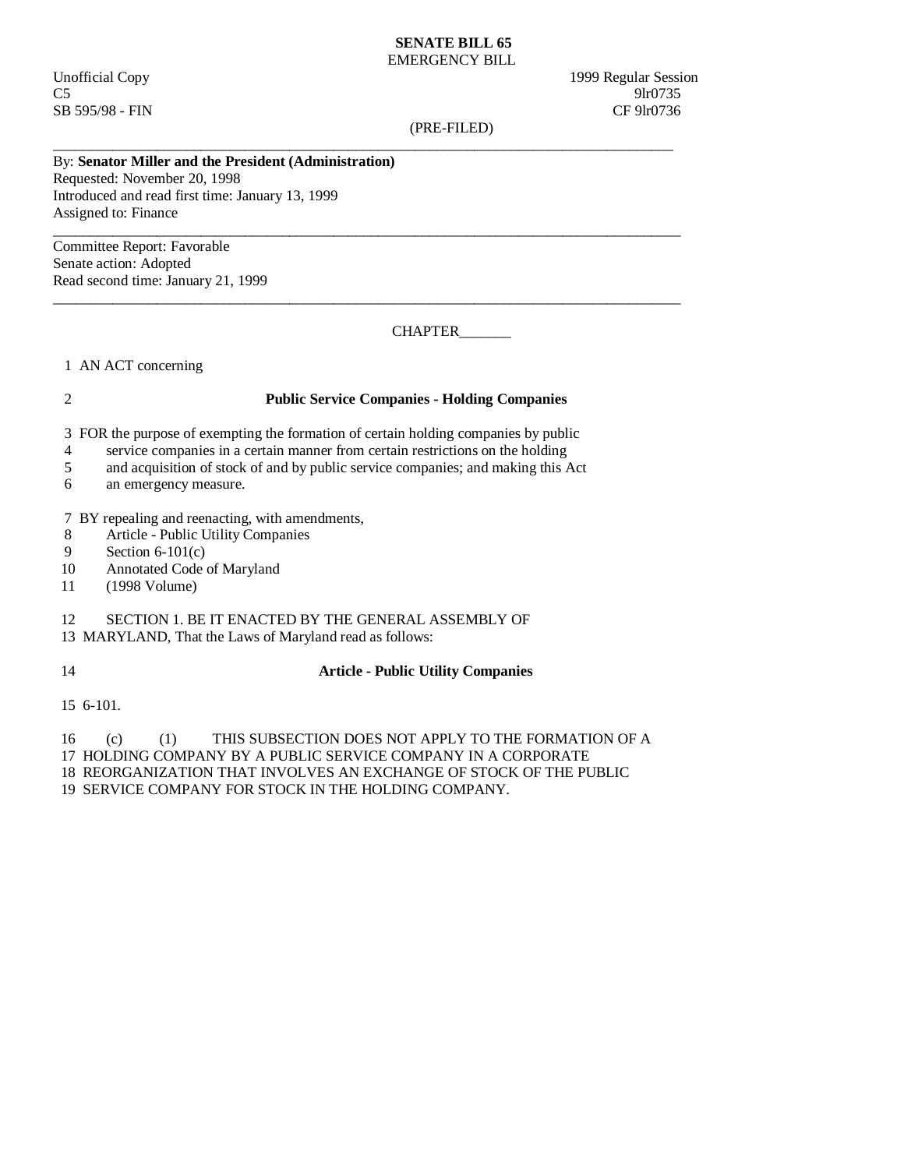#### **SENATE BILL 65**  EMERGENCY BILL

Unofficial Copy 1999 Regular Session  $C5$  9lr0735 SB 595/98 - FIN CF 9lr0736

(PRE-FILED)

\_\_\_\_\_\_\_\_\_\_\_\_\_\_\_\_\_\_\_\_\_\_\_\_\_\_\_\_\_\_\_\_\_\_\_\_\_\_\_\_\_\_\_\_\_\_\_\_\_\_\_\_\_\_\_\_\_\_\_\_\_\_\_\_\_\_\_\_\_\_\_\_\_\_\_\_\_\_\_\_\_\_\_\_

 $\_$  ,  $\_$  ,  $\_$  ,  $\_$  ,  $\_$  ,  $\_$  ,  $\_$  ,  $\_$  ,  $\_$  ,  $\_$  ,  $\_$  ,  $\_$  ,  $\_$  ,  $\_$  ,  $\_$  ,  $\_$  ,  $\_$  ,  $\_$  ,  $\_$  ,  $\_$  ,  $\_$  ,  $\_$  ,  $\_$  ,  $\_$  ,  $\_$  ,  $\_$  ,  $\_$  ,  $\_$  ,  $\_$  ,  $\_$  ,  $\_$  ,  $\_$  ,  $\_$  ,  $\_$  ,  $\_$  ,  $\_$  ,  $\_$  ,

# By: **Senator Miller and the President (Administration)**

Requested: November 20, 1998 Introduced and read first time: January 13, 1999 Assigned to: Finance

 $\_$  ,  $\_$  ,  $\_$  ,  $\_$  ,  $\_$  ,  $\_$  ,  $\_$  ,  $\_$  ,  $\_$  ,  $\_$  ,  $\_$  ,  $\_$  ,  $\_$  ,  $\_$  ,  $\_$  ,  $\_$  ,  $\_$  ,  $\_$  ,  $\_$  ,  $\_$  ,  $\_$  ,  $\_$  ,  $\_$  ,  $\_$  ,  $\_$  ,  $\_$  ,  $\_$  ,  $\_$  ,  $\_$  ,  $\_$  ,  $\_$  ,  $\_$  ,  $\_$  ,  $\_$  ,  $\_$  ,  $\_$  ,  $\_$  , Committee Report: Favorable Senate action: Adopted Read second time: January 21, 1999

CHAPTER\_\_\_\_\_\_\_\_

1 AN ACT concerning

#### 2 **Public Service Companies - Holding Companies**

3 FOR the purpose of exempting the formation of certain holding companies by public

4 service companies in a certain manner from certain restrictions on the holding

- 5 and acquisition of stock of and by public service companies; and making this Act
- 6 an emergency measure.

7 BY repealing and reenacting, with amendments,

- 8 Article Public Utility Companies<br>9 Section 6-101(c)
- Section  $6-101(c)$
- 10 Annotated Code of Maryland
- 11 (1998 Volume)

## 12 SECTION 1. BE IT ENACTED BY THE GENERAL ASSEMBLY OF

13 MARYLAND, That the Laws of Maryland read as follows:

## 14 **Article - Public Utility Companies**

15 6-101.

16 (c) (1) THIS SUBSECTION DOES NOT APPLY TO THE FORMATION OF A

17 HOLDING COMPANY BY A PUBLIC SERVICE COMPANY IN A CORPORATE

18 REORGANIZATION THAT INVOLVES AN EXCHANGE OF STOCK OF THE PUBLIC

19 SERVICE COMPANY FOR STOCK IN THE HOLDING COMPANY.